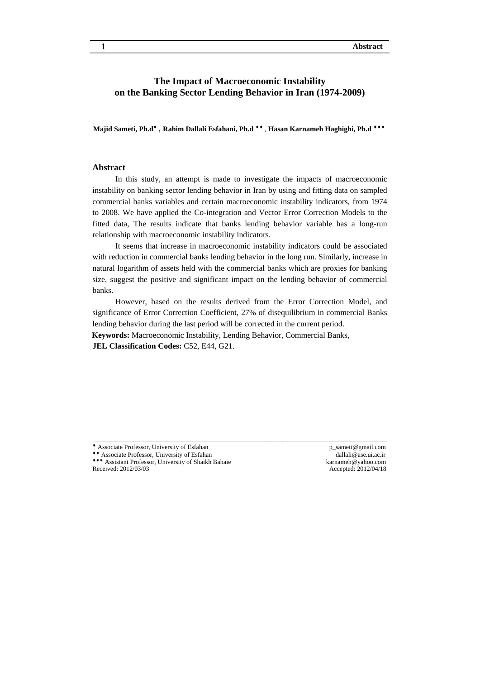### **The Impact of Macroeconomic Instability on the Banking Sector Lending Behavior in Iran (1974-2009)**

Majid Sameti, Ph.d<sup>\*</sup>, Rahim Dallali Esfahani, Ph.d<sup>\*\*</sup>, Hasan Karnameh Haghighi, Ph.d<sup>\*\*\*</sup>

### **Abstract**

In this study, an attempt is made to investigate the impacts of macroeconomic instability on banking sector lending behavior in Iran by using and fitting data on sampled commercial banks variables and certain macroeconomic instability indicators, from 1974 to 2008. We have applied the Co-integration and Vector Error Correction Models to the fitted data, The results indicate that banks lending behavior variable has a long-run relationship with macroeconomic instability indicators.

It seems that increase in macroeconomic instability indicators could be associated with reduction in commercial banks lending behavior in the long run. Similarly, increase in natural logarithm of assets held with the commercial banks which are proxies for banking size, suggest the positive and significant impact on the lending behavior of commercial banks.

However, based on the results derived from the Error Correction Model, and significance of Error Correction Coefficient, 27% of disequilibrium in commercial Banks lending behavior during the last period will be corrected in the current period.

\_\_\_\_\_\_\_\_\_\_\_\_\_\_\_\_\_\_\_\_\_\_\_\_\_\_\_\_\_\_\_\_\_\_\_\_\_\_\_\_\_\_\_\_\_\_\_\_\_\_\_\_\_\_\_\_

**Keywords:** Macroeconomic Instability, Lending Behavior, Commercial Banks,

**JEL Classification Codes:** C52, E44, G21.

Associate Professor, University of Esfahan <br>
Associate Professor, University of Esfahan <br>
P\_sameti@gmail.com dallali@ase.ui.ac.ir \*\* Associate Professor, University of Esfahan

\*\*\* Assistant Professor, University of Shaikh Bahaie karnameh@yahoo.com<br>Received: 2012/03/03 Accepted: 2012/04/18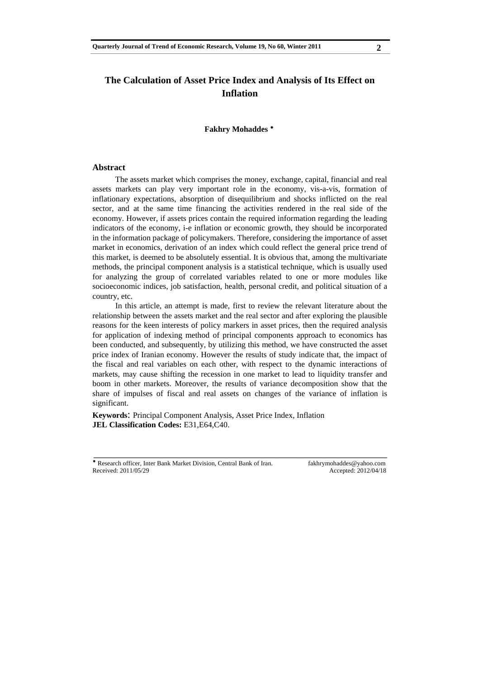# **The Calculation of Asset Price Index and Analysis of Its Effect on Inflation**

**Fakhry Mohaddes** 

#### **Abstract**

The assets market which comprises the money, exchange, capital, financial and real assets markets can play very important role in the economy, vis-a-vis, formation of inflationary expectations, absorption of disequilibrium and shocks inflicted on the real sector, and at the same time financing the activities rendered in the real side of the economy. However, if assets prices contain the required information regarding the leading indicators of the economy, i-e inflation or economic growth, they should be incorporated in the information package of policymakers. Therefore, considering the importance of asset market in economics, derivation of an index which could reflect the general price trend of this market, is deemed to be absolutely essential. It is obvious that, among the multivariate methods, the principal component analysis is a statistical technique, which is usually used for analyzing the group of correlated variables related to one or more modules like socioeconomic indices, job satisfaction, health, personal credit, and political situation of a country, etc.

In this article, an attempt is made, first to review the relevant literature about the relationship between the assets market and the real sector and after exploring the plausible reasons for the keen interests of policy markers in asset prices, then the required analysis for application of indexing method of principal components approach to economics has been conducted, and subsequently, by utilizing this method, we have constructed the asset price index of Iranian economy. However the results of study indicate that, the impact of the fiscal and real variables on each other, with respect to the dynamic interactions of markets, may cause shifting the recession in one market to lead to liquidity transfer and boom in other markets. Moreover, the results of variance decomposition show that the share of impulses of fiscal and real assets on changes of the variance of inflation is significant.

\_\_\_\_\_\_\_\_\_\_\_\_\_\_\_\_\_\_\_\_\_\_\_\_\_\_\_\_\_\_\_\_\_\_\_\_\_\_\_\_\_\_\_\_\_\_\_\_\_\_\_\_\_\_\_\_

**Keywords**: Principal Component Analysis, Asset Price Index, Inflation **JEL Classification Codes:** E31,E64,C40.

<sup>\*</sup> Research officer, Inter Bank Market Division, Central Bank of Iran. fakhrymohaddes@yahoo.com Received: 2011/05/29 Accepted: 2012/04/18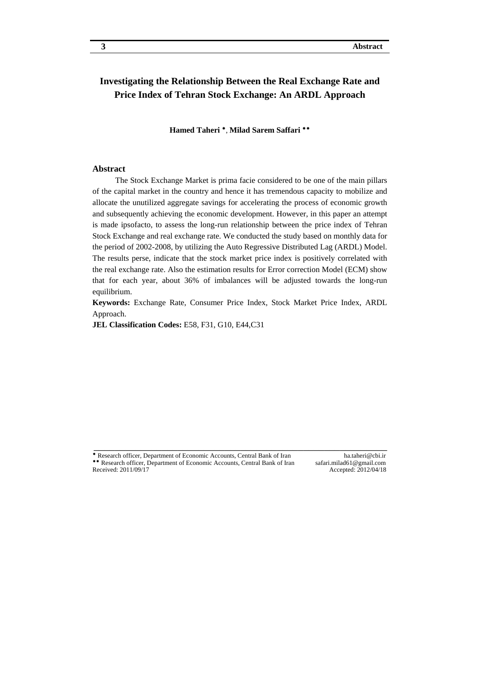# **Investigating the Relationship Between the Real Exchange Rate and Price Index of Tehran Stock Exchange: An ARDL Approach**

**Hamed Taheri \*, Milad Sarem Saffari \*\*** 

### **Abstract**

The Stock Exchange Market is prima facie considered to be one of the main pillars of the capital market in the country and hence it has tremendous capacity to mobilize and allocate the unutilized aggregate savings for accelerating the process of economic growth and subsequently achieving the economic development. However, in this paper an attempt is made ipsofacto, to assess the long-run relationship between the price index of Tehran Stock Exchange and real exchange rate. We conducted the study based on monthly data for the period of 2002-2008, by utilizing the Auto Regressive Distributed Lag (ARDL) Model. The results perse, indicate that the stock market price index is positively correlated with the real exchange rate. Also the estimation results for Error correction Model (ECM) show that for each year, about 36% of imbalances will be adjusted towards the long-run equilibrium.

**Keywords:** Exchange Rate, Consumer Price Index, Stock Market Price Index, ARDL Approach.

\_\_\_\_\_\_\_\_\_\_\_\_\_\_\_\_\_\_\_\_\_\_\_\_\_\_\_\_\_\_\_\_\_\_\_\_\_\_\_\_\_\_\_\_\_\_\_\_\_\_\_\_\_\_\_\_

**JEL Classification Codes:** E58, F31, G10, E44,C31

<sup>\*</sup> Research officer, Department of Economic Accounts, Central Bank of Iran ha.taheri@cbi.ir \*\* Research officer, Department of Economic Accounts, Central Bank of Iran safari.milad61@gmail.com<br>Received: 2011/09/17 Accepted: 2012/04/18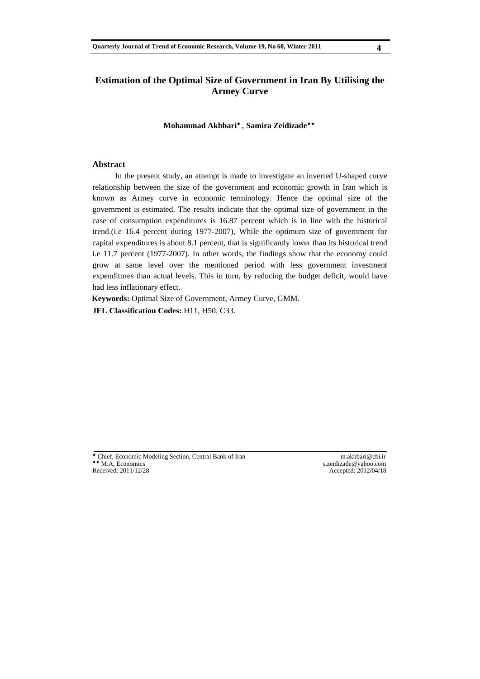# **Estimation of the Optimal Size of Government in Iran By Utilising the Armey Curve**

**Mohammad Akhbari** , **Samira Zeidizade**

#### **Abstract**

In the present study, an attempt is made to investigate an inverted U-shaped curve relationship between the size of the government and economic growth in Iran which is known as Armey curve in economic terminology. Hence the optimal size of the government is estimated. The results indicate that the optimal size of government in the case of consumption expenditures is 16.87 percent which is in line with the historical trend.(i.e 16.4 percent during 1977-2007), While the optimum size of government for capital expenditures is about 8.1 percent, that is significantly lower than its historical trend i.e 11.7 percent (1977-2007). In other words, the findings show that the economy could grow at same level over the mentioned period with less government investment expenditures than actual levels. This in turn, by reducing the budget deficit, would have had less inflationary effect.

\_\_\_\_\_\_\_\_\_\_\_\_\_\_\_\_\_\_\_\_\_\_\_\_\_\_\_\_\_\_\_\_\_\_\_\_\_\_\_\_\_\_\_\_\_\_\_\_\_\_\_\_\_\_\_\_

**Keywords:** Optimal Size of Government, Armey Curve, GMM.

**JEL Classification Codes:** H11, H50, C33.

\* Chief, Economic Modeling Section, Central Bank of Iran m.akhbari@cbi.ir<br>
\*\* M.A. Economics<br>
s.zeidizade@yahoo.com \*\* M.A, Economics<br>
Received: 2011/12/28<br>
Received: 2011/12/28<br>
State 2012/04/18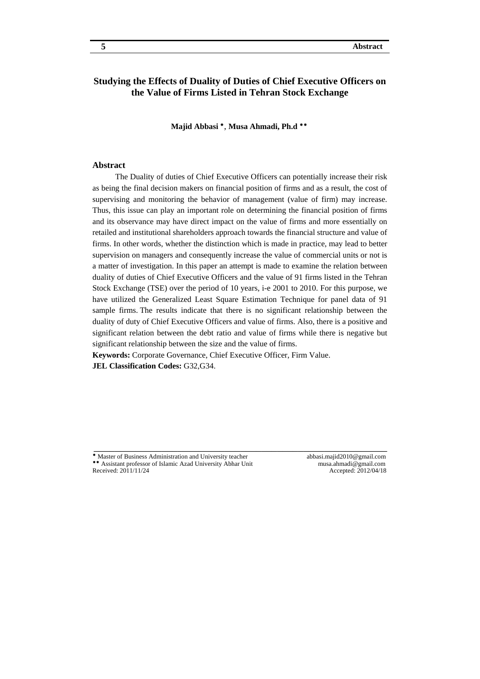## **Studying the Effects of Duality of Duties of Chief Executive Officers on the Value of Firms Listed in Tehran Stock Exchange**

Majid Abbasi<sup>\*</sup>, Musa Ahmadi, Ph.d<sup>\*\*</sup>

#### **Abstract**

The Duality of duties of Chief Executive Officers can potentially increase their risk as being the final decision makers on financial position of firms and as a result, the cost of supervising and monitoring the behavior of management (value of firm) may increase. Thus, this issue can play an important role on determining the financial position of firms and its observance may have direct impact on the value of firms and more essentially on retailed and institutional shareholders approach towards the financial structure and value of firms. In other words, whether the distinction which is made in practice, may lead to better supervision on managers and consequently increase the value of commercial units or not is a matter of investigation. In this paper an attempt is made to examine the relation between duality of duties of Chief Executive Officers and the value of 91 firms listed in the Tehran Stock Exchange (TSE) over the period of 10 years, i-e 2001 to 2010. For this purpose, we have utilized the Generalized Least Square Estimation Technique for panel data of 91 sample firms. The results indicate that there is no significant relationship between the duality of duty of Chief Executive Officers and value of firms. Also, there is a positive and significant relation between the debt ratio and value of firms while there is negative but significant relationship between the size and the value of firms.

\_\_\_\_\_\_\_\_\_\_\_\_\_\_\_\_\_\_\_\_\_\_\_\_\_\_\_\_\_\_\_\_\_\_\_\_\_\_\_\_\_\_\_\_\_\_\_\_\_\_\_\_\_\_\_\_

**Keywords:** Corporate Governance, Chief Executive Officer, Firm Value. **JEL Classification Codes:** G32,G34.

Master of Business Administration and University teacher abbasi.majid2010@gmail.com Assistant professor of Islamic Azad University Abhar Unit musa.ahmadi@gmail.com<br>Received: 2011/11/24 Meceived: 2012/04/18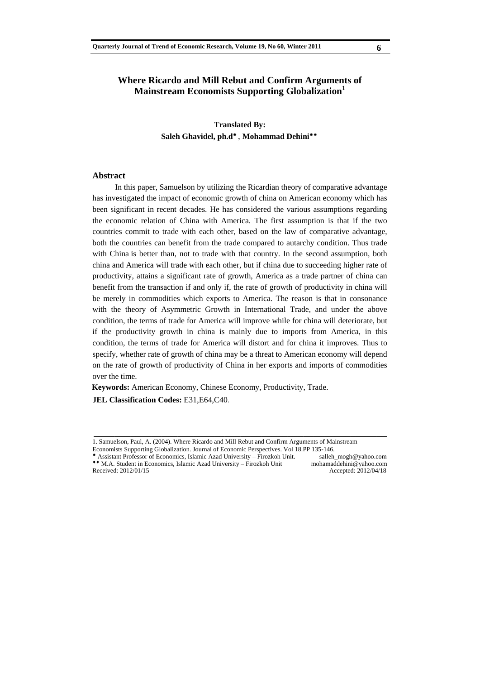## **Where Ricardo and Mill Rebut and Confirm Arguments of Mainstream Economists Supporting Globalization1**

**Translated By:**  Saleh Ghavidel, ph.d<sup>\*</sup>, Mohammad Dehini<sup>\*\*</sup>

#### **Abstract**

In this paper, Samuelson by utilizing the Ricardian theory of comparative advantage has investigated the impact of economic growth of china on American economy which has been significant in recent decades. He has considered the various assumptions regarding the economic relation of China with America. The first assumption is that if the two countries commit to trade with each other, based on the law of comparative advantage, both the countries can benefit from the trade compared to autarchy condition. Thus trade with China is better than, not to trade with that country. In the second assumption, both china and America will trade with each other, but if china due to succeeding higher rate of productivity, attains a significant rate of growth, America as a trade partner of china can benefit from the transaction if and only if, the rate of growth of productivity in china will be merely in commodities which exports to America. The reason is that in consonance with the theory of Asymmetric Growth in International Trade, and under the above condition, the terms of trade for America will improve while for china will deteriorate, but if the productivity growth in china is mainly due to imports from America, in this condition, the terms of trade for America will distort and for china it improves. Thus to specify, whether rate of growth of china may be a threat to American economy will depend on the rate of growth of productivity of China in her exports and imports of commodities over the time.

**Keywords:** American Economy, Chinese Economy, Productivity, Trade.

**JEL Classification Codes:** E31,E64,C40.

\_\_\_\_\_\_\_\_\_\_\_\_\_\_\_\_\_\_\_\_\_\_\_\_\_\_\_\_\_\_\_\_\_\_\_\_\_\_\_\_\_\_\_\_\_\_\_\_\_\_\_\_\_\_\_\_

\* Assistant Professor of Economics, Islamic Azad University – Firozkoh Unit. salleh\_mogh@yahoo.com M.A. Student in Economics, Islamic Azad University – Firozkoh Unit mohamaddehini@yahoo.com<br>
Received: 2012/01/15 Accepted: 2012/04/18

<sup>1.</sup> Samuelson, Paul, A. (2004). Where Ricardo and Mill Rebut and Confirm Arguments of Mainstream

Economists Supporting Globalization. Journal of Economic Perspectives. Vol 18.PP 135-146.

Received: 2012/01/15 Accepted: 2012/04/18